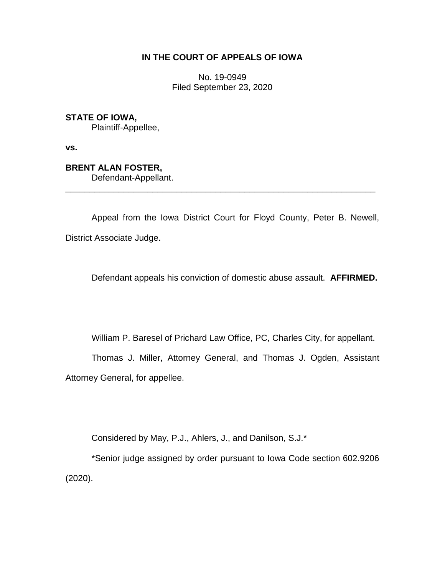## **IN THE COURT OF APPEALS OF IOWA**

No. 19-0949 Filed September 23, 2020

**STATE OF IOWA,**

Plaintiff-Appellee,

**vs.**

**BRENT ALAN FOSTER,**

Defendant-Appellant. \_\_\_\_\_\_\_\_\_\_\_\_\_\_\_\_\_\_\_\_\_\_\_\_\_\_\_\_\_\_\_\_\_\_\_\_\_\_\_\_\_\_\_\_\_\_\_\_\_\_\_\_\_\_\_\_\_\_\_\_\_\_\_\_

Appeal from the Iowa District Court for Floyd County, Peter B. Newell, District Associate Judge.

Defendant appeals his conviction of domestic abuse assault. **AFFIRMED.**

William P. Baresel of Prichard Law Office, PC, Charles City, for appellant.

Thomas J. Miller, Attorney General, and Thomas J. Ogden, Assistant Attorney General, for appellee.

Considered by May, P.J., Ahlers, J., and Danilson, S.J.\*

\*Senior judge assigned by order pursuant to Iowa Code section 602.9206 (2020).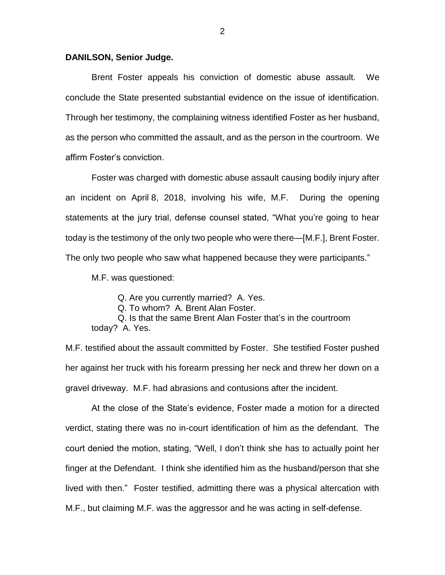## **DANILSON, Senior Judge.**

Brent Foster appeals his conviction of domestic abuse assault. We conclude the State presented substantial evidence on the issue of identification. Through her testimony, the complaining witness identified Foster as her husband, as the person who committed the assault, and as the person in the courtroom. We affirm Foster's conviction.

Foster was charged with domestic abuse assault causing bodily injury after an incident on April 8, 2018, involving his wife, M.F. During the opening statements at the jury trial, defense counsel stated, "What you're going to hear today is the testimony of the only two people who were there—[M.F.], Brent Foster. The only two people who saw what happened because they were participants."

M.F. was questioned:

Q. Are you currently married? A. Yes.

Q. To whom? A. Brent Alan Foster.

Q. Is that the same Brent Alan Foster that's in the courtroom today? A. Yes.

M.F. testified about the assault committed by Foster. She testified Foster pushed her against her truck with his forearm pressing her neck and threw her down on a gravel driveway. M.F. had abrasions and contusions after the incident.

At the close of the State's evidence, Foster made a motion for a directed verdict, stating there was no in-court identification of him as the defendant. The court denied the motion, stating, "Well, I don't think she has to actually point her finger at the Defendant. I think she identified him as the husband/person that she lived with then." Foster testified, admitting there was a physical altercation with M.F., but claiming M.F. was the aggressor and he was acting in self-defense.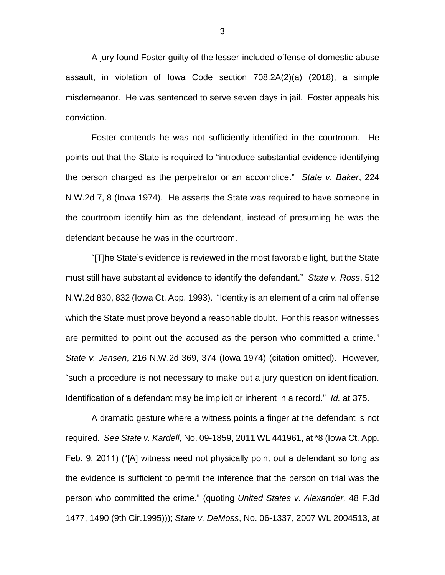A jury found Foster guilty of the lesser-included offense of domestic abuse assault, in violation of Iowa Code section 708.2A(2)(a) (2018), a simple misdemeanor. He was sentenced to serve seven days in jail. Foster appeals his conviction.

Foster contends he was not sufficiently identified in the courtroom. He points out that the State is required to "introduce substantial evidence identifying the person charged as the perpetrator or an accomplice." *State v. Baker*, 224 N.W.2d 7, 8 (Iowa 1974). He asserts the State was required to have someone in the courtroom identify him as the defendant, instead of presuming he was the defendant because he was in the courtroom.

"[T]he State's evidence is reviewed in the most favorable light, but the State must still have substantial evidence to identify the defendant." *State v. Ross*, 512 N.W.2d 830, 832 (Iowa Ct. App. 1993). "Identity is an element of a criminal offense which the State must prove beyond a reasonable doubt. For this reason witnesses are permitted to point out the accused as the person who committed a crime." *State v. Jensen*, 216 N.W.2d 369, 374 (Iowa 1974) (citation omitted). However, "such a procedure is not necessary to make out a jury question on identification. Identification of a defendant may be implicit or inherent in a record." *Id.* at 375.

A dramatic gesture where a witness points a finger at the defendant is not required. *See State v. Kardell*, No. 09-1859, 2011 WL 441961, at \*8 (Iowa Ct. App. Feb. 9, 2011) ("[A] witness need not physically point out a defendant so long as the evidence is sufficient to permit the inference that the person on trial was the person who committed the crime." (quoting *United States v. Alexander,* 48 F.3d 1477, 1490 (9th Cir.1995))); *State v. DeMoss*, No. 06-1337, 2007 WL 2004513, at